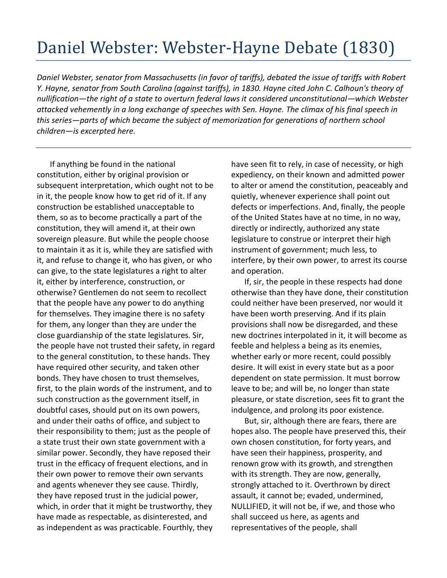## Daniel Webster: Webster-Hayne Debate (1830)

*Daniel Webster, senator from Massachusetts (in favor of tariffs), debated the issue of tariffs with Robert Y. Hayne, senator from South Carolina (against tariffs), in 1830. Hayne cited John C. Calhoun's theory of nullification—the right of a state to overturn federal laws it considered unconstitutional—which Webster attacked vehemently in a long exchange of speeches with Sen. Hayne. The climax of his final speech in this series—parts of which became the subject of memorization for generations of northern school children—is excerpted here.* 

If anything be found in the national constitution, either by original provision or subsequent interpretation, which ought not to be in it, the people know how to get rid of it. If any construction be established unacceptable to them, so as to become practically a part of the constitution, they will amend it, at their own sovereign pleasure. But while the people choose to maintain it as it is, while they are satisfied with it, and refuse to change it, who has given, or who can give, to the state legislatures a right to alter it, either by interference, construction, or otherwise? Gentlemen do not seem to recollect that the people have any power to do anything for themselves. They imagine there is no safety for them, any longer than they are under the close guardianship of the state legislatures. Sir, the people have not trusted their safety, in regard to the general constitution, to these hands. They have required other security, and taken other bonds. They have chosen to trust themselves, first, to the plain words of the instrument, and to such construction as the government itself, in doubtful cases, should put on its own powers, and under their oaths of office, and subject to their responsibility to them; just as the people of a state trust their own state government with a similar power. Secondly, they have reposed their trust in the efficacy of frequent elections, and in their own power to remove their own servants and agents whenever they see cause. Thirdly, they have reposed trust in the judicial power, which, in order that it might be trustworthy, they have made as respectable, as disinterested, and as independent as was practicable. Fourthly, they

have seen fit to rely, in case of necessity, or high expediency, on their known and admitted power to alter or amend the constitution, peaceably and quietly, whenever experience shall point out defects or imperfections. And, finally, the people of the United States have at no time, in no way, directly or indirectly, authorized any state legislature to construe or interpret their high instrument of government; much less, to interfere, by their own power, to arrest its course and operation.

If, sir, the people in these respects had done otherwise than they have done, their constitution could neither have been preserved, nor would it have been worth preserving. And if its plain provisions shall now be disregarded, and these new doctrines interpolated in it, it will become as feeble and helpless a being as its enemies, whether early or more recent, could possibly desire. It will exist in every state but as a poor dependent on state permission. It must borrow leave to be; and will be, no longer than state pleasure, or state discretion, sees fit to grant the indulgence, and prolong its poor existence.

But, sir, although there are fears, there are hopes also. The people have preserved this, their own chosen constitution, for forty years, and have seen their happiness, prosperity, and renown grow with its growth, and strengthen with its strength. They are now, generally, strongly attached to it. Overthrown by direct assault, it cannot be; evaded, undermined, NULLIFIED, it will not be, if we, and those who shall succeed us here, as agents and representatives of the people, shall